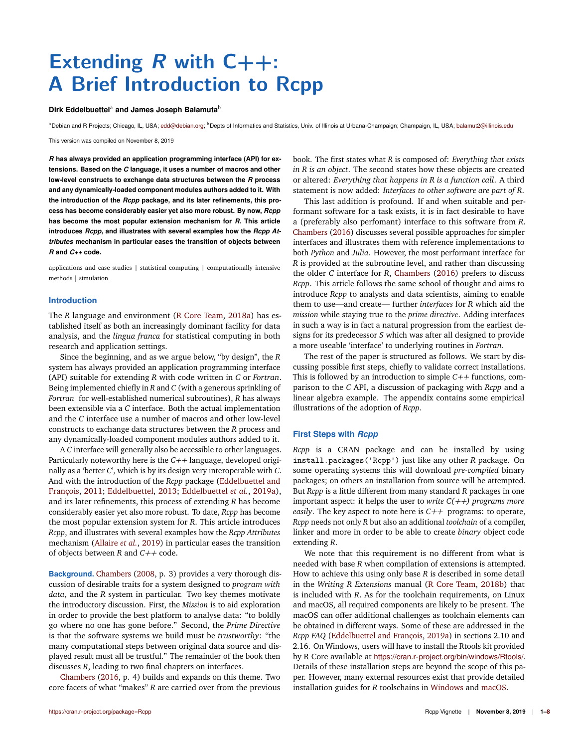# **Extending R with C++: A Brief Introduction to Rcpp**

### Dirk Eddelbuettel<sup>a</sup> and James Joseph Balamuta<sup>b</sup>

<sup>a</sup>Debian and R Projects; Chicago, IL, USA; edd@debian.org; <sup>b</sup>Depts of Informatics and Statistics, Univ. of Illinois at Urbana-Champaign; Champaign, IL, USA; balamut2@illinois.edu

This version was compiled on November 8, 2019

*R* **has always provided an application programming interface (API) for extensions. Based on the** *C* **language, it uses a number of macros and other low-level constructs to exchange data structures between the** *R* **process and any dynamically-loaded component modules authors added to it. With the introduction of the** *Rcpp* **package, and its later refinements, this process has become considerably easier yet also more robust. By now,** *Rcpp* **has become the most popular extension mechanism for** *R***. This article introduces** *Rcpp***, and illustrates with several examples how the** *Rcpp Attributes* **mechanism in particular eases the transition of objects between** *R* **and** *C++* **code.**

applications and case studies | statistical computing | computationally intensive methods | simulation

### **Introduction**

The *R* language and environment (R Core Team, 2018a) has established itself as both an increasingly dominant facility for data analysis, and the *lingua franca* for statistical computing in both research and application settings.

Since the beginning, and as we argue below, "by design", the *R* system has always provided an application programming interface (API) suitable for extending *R* with code written in *C* or *Fortran*. Being implemented chiefly in *R* and *C* (with a generous sprinkling of *Fortran* for well-established numerical subroutines), *R* has always been extensible via a *C* interface. Both the actual implementation and the *C* interface use a number of macros and other low-level constructs to exchange data structures between the *R* process and any dynamically-loaded component modules authors added to it.

A *C* interface will generally also be accessible to other languages. Particularly noteworthy here is the *C++* language, developed originally as a 'better *C*', which is by its design very interoperable with *C*. And with the introduction of the *Rcpp* package (Eddelbuettel and François, 2011; Eddelbuettel, 2013; Eddelbuettel *et al.*, 2019a), and its later refinements, this process of extending *R* has become considerably easier yet also more robust. To date, *Rcpp* has become the most popular extension system for *R*. This article introduces *Rcpp*, and illustrates with several examples how the *Rcpp Attributes* mechanism (Allaire *et al.*, 2019) in particular eases the transition of objects between *R* and *C++* code.

**Background.** Chambers (2008, p. 3) provides a very thorough discussion of desirable traits for a system designed to *program with data*, and the *R* system in particular. Two key themes motivate the introductory discussion. First, the *Mission* is to aid exploration in order to provide the best platform to analyse data: "to boldly go where no one has gone before." Second, the *Prime Directive* is that the software systems we build must be *trustworthy*: "the many computational steps between original data source and displayed result must all be trustful." The remainder of the book then discusses *R*, leading to two final chapters on interfaces.

Chambers (2016, p. 4) builds and expands on this theme. Two core facets of what "makes" *R* are carried over from the previous book. The first states what *R* is composed of: *Everything that exists in R is an object*. The second states how these objects are created or altered: *Everything that happens in R is a function call*. A third statement is now added: *Interfaces to other software are part of R*.

This last addition is profound. If and when suitable and performant software for a task exists, it is in fact desirable to have a (preferably also perfomant) interface to this software from *R*. Chambers (2016) discusses several possible approaches for simpler interfaces and illustrates them with reference implementations to both *Python* and *Julia*. However, the most performant interface for *R* is provided at the subroutine level, and rather than discussing the older *C* interface for *R*, Chambers (2016) prefers to discuss *Rcpp*. This article follows the same school of thought and aims to introduce *Rcpp* to analysts and data scientists, aiming to enable them to use—and create— further *interfaces* for *R* which aid the *mission* while staying true to the *prime directive*. Adding interfaces in such a way is in fact a natural progression from the earliest designs for its predecessor *S* which was after all designed to provide a more useable 'interface' to underlying routines in *Fortran*.

The rest of the paper is structured as follows. We start by discussing possible first steps, chiefly to validate correct installations. This is followed by an introduction to simple *C++* functions, comparison to the *C* API, a discussion of packaging with *Rcpp* and a linear algebra example. The appendix contains some empirical illustrations of the adoption of *Rcpp*.

## **First Steps with** *Rcpp*

*Rcpp* is a CRAN package and can be installed by using install.packages('Rcpp') just like any other *R* package. On some operating systems this will download *pre-compiled* binary packages; on others an installation from source will be attempted. But *Rcpp* is a little different from many standard *R* packages in one important aspect: it helps the user to *write C(++) programs more easily*. The key aspect to note here is *C++* programs: to operate, *Rcpp* needs not only *R* but also an additional *toolchain* of a compiler, linker and more in order to be able to create *binary* object code extending *R*.

We note that this requirement is no different from what is needed with base *R* when compilation of extensions is attempted. How to achieve this using only base *R* is described in some detail in the *Writing R Extensions* manual (R Core Team, 2018b) that is included with *R*. As for the toolchain requirements, on Linux and macOS, all required components are likely to be present. The macOS can offer additional challenges as toolchain elements can be obtained in different ways. Some of these are addressed in the *Rcpp FAQ* (Eddelbuettel and François, 2019a) in sections 2.10 and 2.16. On Windows, users will have to install the Rtools kit provided by R Core available at https://cran.r-project.org/bin/windows/Rtools/. Details of these installation steps are beyond the scope of this paper. However, many external resources exist that provide detailed installation guides for *R* toolschains in Windows and macOS.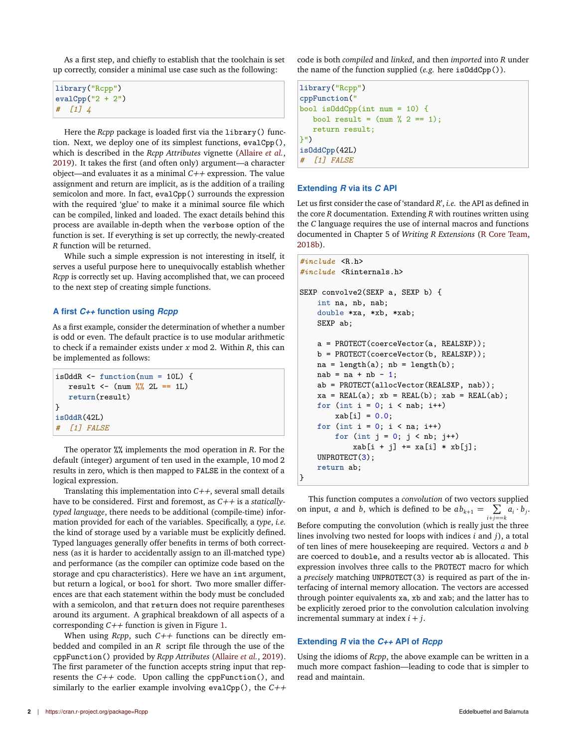As a first step, and chiefly to establish that the toolchain is set up correctly, consider a minimal use case such as the following:

```
library("Rcpp")
evalCpp("2 + 2")
# [1] 4
```
Here the *Rcpp* package is loaded first via the library() function. Next, we deploy one of its simplest functions, evalCpp(), which is described in the *Rcpp Attributes* vignette (Allaire *et al.*, 2019). It takes the first (and often only) argument—a character object—and evaluates it as a minimal *C++* expression. The value assignment and return are implicit, as is the addition of a trailing semicolon and more. In fact, evalCpp() surrounds the expression with the required 'glue' to make it a minimal source file which can be compiled, linked and loaded. The exact details behind this process are available in-depth when the verbose option of the function is set. If everything is set up correctly, the newly-created *R* function will be returned.

While such a simple expression is not interesting in itself, it serves a useful purpose here to unequivocally establish whether *Rcpp* is correctly set up. Having accomplished that, we can proceed to the next step of creating simple functions.

# **A first** *C++* **function using** *Rcpp*

As a first example, consider the determination of whether a number is odd or even. The default practice is to use modular arithmetic to check if a remainder exists under *x* mod 2. Within *R*, this can be implemented as follows:

```
isOddR <- function(num = 10L) {
  result <- (num %% 2L == 1L)
   return(result)
}
isOddR(42L)
# [1] FALSE
```
The operator %% implements the mod operation in *R*. For the default (integer) argument of ten used in the example, 10 mod 2 results in zero, which is then mapped to FALSE in the context of a logical expression.

Translating this implementation into *C++*, several small details have to be considered. First and foremost, as *C++* is a *staticallytyped language*, there needs to be additional (compile-time) information provided for each of the variables. Specifically, a *type*, *i.e.* the kind of storage used by a variable must be explicitly defined. Typed languages generally offer benefits in terms of both correctness (as it is harder to accidentally assign to an ill-matched type) and performance (as the compiler can optimize code based on the storage and cpu characteristics). Here we have an int argument, but return a logical, or bool for short. Two more smaller differences are that each statement within the body must be concluded with a semicolon, and that return does not require parentheses around its argument. A graphical breakdown of all aspects of a corresponding *C++* function is given in Figure 1.

When using *Rcpp*, such *C++* functions can be directly embedded and compiled in an *R* script file through the use of the cppFunction() provided by *Rcpp Attributes* (Allaire *et al.*, 2019). The first parameter of the function accepts string input that represents the *C++* code. Upon calling the cppFunction(), and similarly to the earlier example involving evalCpp(), the *C++* code is both *compiled* and *linked*, and then *imported* into *R* under the name of the function supplied (*e.g.* here isOddCpp()).

```
library("Rcpp")
cppFunction("
bool isOddCpp(int num = 10) {
  bool result = (num % 2 == 1);return result;
}")
isOddCpp(42L)
# [1] FALSE
```
#### **Extending** *R* **via its** *C* **API**

Let us first consider the case of 'standard *R*', *i.e.* the API as defined in the core *R* documentation. Extending *R* with routines written using the *C* language requires the use of internal macros and functions documented in Chapter 5 of *Writing R Extensions* (R Core Team, 2018b).

```
#include <R.h>
#include <Rinternals.h>
SEXP convolve2(SEXP a, SEXP b) {
    int na, nb, nab;
    double *xa, *xb, *xab;
    SEXP ab;
    a = PROTECT(coerceVector(a, REALSXP));
    b = PROTECT(coerceVector(b, REALSXP));
    na = length(a); nb = length(b);nab = na + nb - 1;
    ab = PROTECT(allocVector(REALSXP, nab));
    xa = REAL(a); xb = REAL(b); xab = REAL(ab);for (int i = 0; i < nab; i+1)
        xab[i] = 0.0;for (int i = 0; i < na; i++)for (int j = 0; j < nb; j++)xab[i + j] += xa[i] * xb[j];UNPROTECT(3);
    return ab;
}
```
This function computes a *convolution* of two vectors supplied on input, *a* and *b*, which is defined to be  $ab_{k+1} = \sum a_i \cdot b_j$ . *i*+*j*==*k* Before computing the convolution (which is really just the three lines involving two nested for loops with indices *i* and *j*), a total of ten lines of mere housekeeping are required. Vectors *a* and *b* are coerced to double, and a results vector ab is allocated. This expression involves three calls to the PROTECT macro for which a *precisely* matching UNPROTECT(3) is required as part of the interfacing of internal memory allocation. The vectors are accessed through pointer equivalents xa, xb and xab; and the latter has to be explicitly zeroed prior to the convolution calculation involving incremental summary at index *i* + *j*.

#### **Extending** *R* **via the** *C++* **API of** *Rcpp*

Using the idioms of *Rcpp*, the above example can be written in a much more compact fashion—leading to code that is simpler to read and maintain.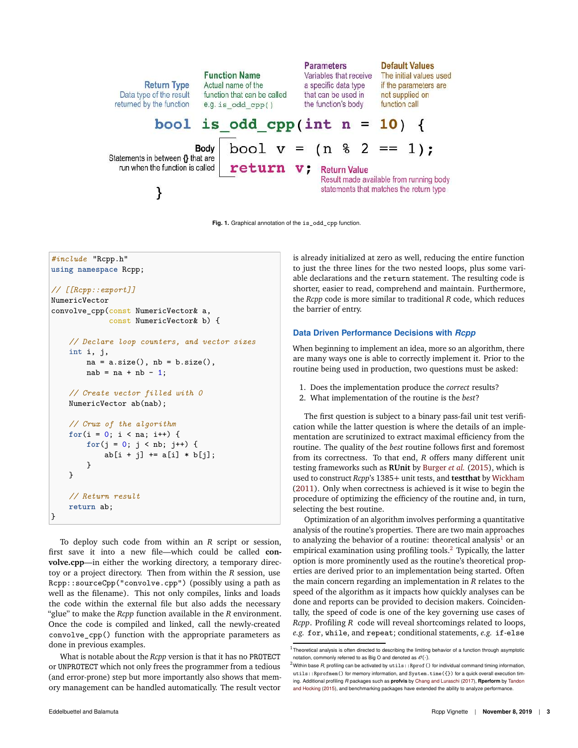

**Fig. 1.** Graphical annotation of the is\_odd\_cpp function.

```
#include "Rcpp.h"
using namespace Rcpp;
// [[Rcpp::export]]
NumericVector
convolve_cpp(const NumericVector& a,
             const NumericVector& b) {
    // Declare loop counters, and vector sizes
    int i, j,
       na = a.size(), nb = b.size(),nab = na + nb - 1;// Create vector filled with 0
    NumericVector ab(nab);
    // Crux of the algorithm
    for(i = 0; i < na; i++) {
        for(j = 0; j < nb; j++) {
            ab[i + j] += a[i] * b[j];}
    }
    // Return result
    return ab;
}
```
To deploy such code from within an *R* script or session, first save it into a new file—which could be called **convolve.cpp**—in either the working directory, a temporary directoy or a project directory. Then from within the *R* session, use Rcpp::sourceCpp("convolve.cpp") (possibly using a path as well as the filename). This not only compiles, links and loads the code within the external file but also adds the necessary "glue" to make the *Rcpp* function available in the *R* environment. Once the code is compiled and linked, call the newly-created convolve\_cpp() function with the appropriate parameters as done in previous examples.

What is notable about the *Rcpp* version is that it has no PROTECT or UNPROTECT which not only frees the programmer from a tedious (and error-prone) step but more importantly also shows that memory management can be handled automatically. The result vector

is already initialized at zero as well, reducing the entire function to just the three lines for the two nested loops, plus some variable declarations and the return statement. The resulting code is shorter, easier to read, comprehend and maintain. Furthermore, the *Rcpp* code is more similar to traditional *R* code, which reduces the barrier of entry.

# **Data Driven Performance Decisions with** *Rcpp*

When beginning to implement an idea, more so an algorithm, there are many ways one is able to correctly implement it. Prior to the routine being used in production, two questions must be asked:

- 1. Does the implementation produce the *correct* results?
- 2. What implementation of the routine is the *best*?

The first question is subject to a binary pass-fail unit test verification while the latter question is where the details of an implementation are scrutinized to extract maximal efficiency from the routine. The quality of the *best* routine follows first and foremost from its correctness. To that end, *R* offers many different unit testing frameworks such as **RUnit** by Burger *et al.* (2015), which is used to construct *Rcpp*'s 1385+ unit tests, and **testthat** by Wickham (2011). Only when correctness is achieved is it wise to begin the procedure of optimizing the efficiency of the routine and, in turn, selecting the best routine.

Optimization of an algorithm involves performing a quantitative analysis of the routine's properties. There are two main approaches to analyzing the behavior of a routine: theoretical analysis<sup>1</sup> or an empirical examination using profiling tools.<sup>2</sup> Typically, the latter option is more prominently used as the routine's theoretical properties are derived prior to an implementation being started. Often the main concern regarding an implementation in *R* relates to the speed of the algorithm as it impacts how quickly analyses can be done and reports can be provided to decision makers. Coincidentally, the speed of code is one of the key governing use cases of *Rcpp*. Profiling *R* code will reveal shortcomings related to loops, *e.g.* for, while, and repeat; conditional statements, *e.g.* if-else

 $1$ Theoretical analysis is often directed to describing the limiting behavior of a function through asymptotic notation, commonly referred to as Big O and denoted as  $\mathcal{O}(\cdot)$ .

 $^2$ Within base *R*, profiling can be activated by  $\texttt{utils::Rprof}$  ( ) for individual command timing information, utils::Rprofmem() for memory information, and System.time({}) for a quick overall execution tim ing. Additional profiling *R* packages such as **profvis** by Chang and Luraschi (2017), **Rperform** by Tandon and Hocking (2015), and benchmarking packages have extended the ability to analyze performance.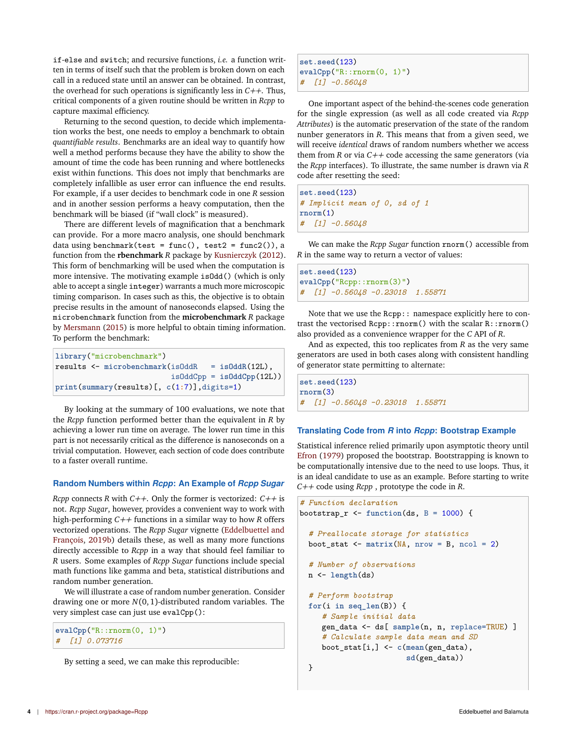if-else and switch; and recursive functions, *i.e.* a function written in terms of itself such that the problem is broken down on each call in a reduced state until an answer can be obtained. In contrast, the overhead for such operations is significantly less in *C++*. Thus, critical components of a given routine should be written in *Rcpp* to capture maximal efficiency.

Returning to the second question, to decide which implementation works the best, one needs to employ a benchmark to obtain *quantifiable results*. Benchmarks are an ideal way to quantify how well a method performs because they have the ability to show the amount of time the code has been running and where bottlenecks exist within functions. This does not imply that benchmarks are completely infallible as user error can influence the end results. For example, if a user decides to benchmark code in one *R* session and in another session performs a heavy computation, then the benchmark will be biased (if "wall clock" is measured).

There are different levels of magnification that a benchmark can provide. For a more macro analysis, one should benchmark data using benchmark(test = func(), test2 = func2()), a function from the **rbenchmark** *R* package by Kusnierczyk (2012). This form of benchmarking will be used when the computation is more intensive. The motivating example isOdd() (which is only able to accept a single integer) warrants a much more microscopic timing comparison. In cases such as this, the objective is to obtain precise results in the amount of nanoseconds elapsed. Using the microbenchmark function from the **microbenchmark** *R* package by Mersmann (2015) is more helpful to obtain timing information. To perform the benchmark:

```
library("microbenchmark")
results <- microbenchmark(isOddR = isOddR(12L),
                          isOddCpp = isOddCpp(12L))
print(summary(results)[, c(1:7)],digits=1)
```
By looking at the summary of 100 evaluations, we note that the *Rcpp* function performed better than the equivalent in *R* by achieving a lower run time on average. The lower run time in this part is not necessarily critical as the difference is nanoseconds on a trivial computation. However, each section of code does contribute to a faster overall runtime.

# **Random Numbers within** *Rcpp***: An Example of** *Rcpp Sugar*

*Rcpp* connects *R* with *C++*. Only the former is vectorized: *C++* is not. *Rcpp Sugar*, however, provides a convenient way to work with high-performing *C++* functions in a similar way to how *R* offers vectorized operations. The *Rcpp Sugar* vignette (Eddelbuettel and François, 2019b) details these, as well as many more functions directly accessible to *Rcpp* in a way that should feel familiar to *R* users. Some examples of *Rcpp Sugar* functions include special math functions like gamma and beta, statistical distributions and random number generation.

We will illustrate a case of random number generation. Consider drawing one or more *N*(0,1)-distributed random variables. The very simplest case can just use evalCpp():

```
evalCpp("R::rnorm(0, 1)")
# [1] 0.073716
```
By setting a seed, we can make this reproducible:

```
set.seed(123)
evalCpp("R::rnorm(0, 1)")
  # [1] -0.56048
```
One important aspect of the behind-the-scenes code generation for the single expression (as well as all code created via *Rcpp Attributes*) is the automatic preservation of the state of the random nunber generators in *R*. This means that from a given seed, we will receive *identical* draws of random numbers whether we access them from  $R$  or via  $C++$  code accessing the same generators (via the *Rcpp* interfaces). To illustrate, the same number is drawn via *R* code after resetting the seed:

**set.seed**(123) *# Implicit mean of 0, sd of 1* **rnorm**(1) *# [1] -0.56048*

We can make the *Rcpp Sugar* function rnorm() accessible from *R* in the same way to return a vector of values:

```
set.seed(123)
evalCpp("Rcpp::rnorm(3)")
# [1] -0.56048 -0.23018 1.55871
```
Note that we use the Rcpp:: namespace explicitly here to contrast the vectorised Rcpp::rnorm() with the scalar R::rnorm() also provided as a convenience wrapper for the *C* API of *R*.

And as expected, this too replicates from *R* as the very same generators are used in both cases along with consistent handling of generator state permitting to alternate:

```
set.seed(123)
rnorm(3)
# [1] -0.56048 -0.23018 1.55871
```
# **Translating Code from** *R* **into** *Rcpp***: Bootstrap Example**

Statistical inference relied primarily upon asymptotic theory until Efron (1979) proposed the bootstrap. Bootstrapping is known to be computationally intensive due to the need to use loops. Thus, it is an ideal candidate to use as an example. Before starting to write *C++* code using *Rcpp* , prototype the code in *R*.

```
# Function declaration
bootstrap_r <- function(ds, B = 1000) {
  # Preallocate storage for statistics
  boot_stat \leq matrix(NA, nrow = B, ncol = 2)
  # Number of observations
 n <- length(ds)
  # Perform bootstrap
  for(i in seq_len(B)) {
     # Sample initial data
     gen_data <- ds[ sample(n, n, replace=TRUE) ]
     # Calculate sample data mean and SD
     boot_stat[i,] <- c(mean(gen_data),
                        sd(gen_data))
  }
```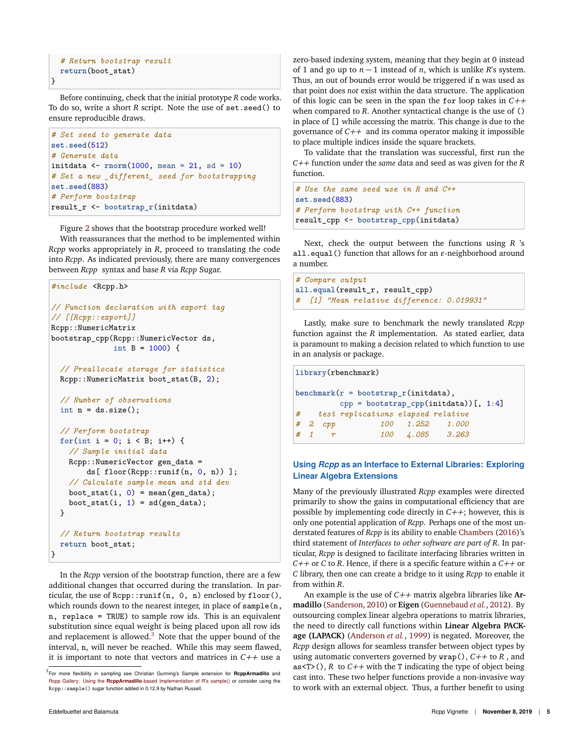```
# Return bootstrap result
return(boot_stat)
```
}

Before continuing, check that the initial prototype *R* code works. To do so, write a short *R* script. Note the use of set.seed() to ensure reproducible draws.

```
# Set seed to generate data
set.seed(512)
# Generate data
initdata <- rnorm(1000, mean = 21, sd = 10)
# Set a new _different_ seed for bootstrapping
set.seed(883)
# Perform bootstrap
result_r <- bootstrap_r(initdata)
```
Figure 2 shows that the bootstrap procedure worked well!

With reassurances that the method to be implemented within *Rcpp* works appropriately in *R*, proceed to translating the code into *Rcpp*. As indicated previously, there are many convergences between *Rcpp* syntax and base *R* via *Rcpp* Sugar.

```
#include <Rcpp.h>
// Function declaration with export tag
// [[Rcpp::export]]
Rcpp::NumericMatrix
bootstrap_cpp(Rcpp::NumericVector ds,
              int B = 1000) {
  // Preallocate storage for statistics
 Rcpp::NumericMatrix boot_stat(B, 2);
  // Number of observations
 int n = ds.size();// Perform bootstrap
 for(int i = 0; i < B; i++) {
    // Sample initial data
    Rcpp::NumericVector gen_data =
        ds[ floor(Rcpp::runif(n, 0, n)) ];
    // Calculate sample mean and std dev
    boot\_stat(i, 0) = mean(gen\_data);boot_stat(i, 1) = sd(gen_data);
 }
  // Return bootstrap results
  return boot_stat;
}
```
In the *Rcpp* version of the bootstrap function, there are a few additional changes that occurred during the translation. In particular, the use of Rcpp::runif(n, 0, n) enclosed by floor(), which rounds down to the nearest integer, in place of sample(n, n, replace = TRUE) to sample row ids. This is an equivalent substitution since equal weight is being placed upon all row ids and replacement is allowed. $3$  Note that the upper bound of the interval, n, will never be reached. While this may seem flawed, it is important to note that vectors and matrices in *C++* use a

To validate that the translation was successful, first run the *C++* function under the *same* data and seed as was given for the *R* function.

```
# Use the same seed use in R and C++
set.seed(883)
# Perform bootstrap with C++ function
result_cpp <- bootstrap_cpp(initdata)
```
Next, check the output between the functions using *R* 's all.equal() function that allows for an *ǫ*-neighborhood around a number.

```
# Compare output
all.equal(result_r, result_cpp)
# [1] "Mean relative difference: 0.019931"
```
Lastly, make sure to benchmark the newly translated *Rcpp* function against the *R* implementation. As stated earlier, data is paramount to making a decision related to which function to use in an analysis or package.

```
library(rbenchmark)
benchmark(r = bootstrap_r(initdata),
        cpp = bootstrap_cpp(initdata))[, 1:4]
# test replications elapsed relative
# 2 cpp 100 1.252 1.000
# 1 r 100 4.085 3.263
```
# **Using** *Rcpp* **as an Interface to External Libraries: Exploring Linear Algebra Extensions**

Many of the previously illustrated *Rcpp* examples were directed primarily to show the gains in computational efficiency that are possible by implementing code directly in *C++*; however, this is only one potential application of *Rcpp*. Perhaps one of the most understated features of *Rcpp* is its ability to enable Chambers (2016)'s third statement of *Interfaces to other software are part of R*. In particular, *Rcpp* is designed to facilitate interfacing libraries written in *C++* or *C* to *R*. Hence, if there is a specific feature within a *C++* or *C* library, then one can create a bridge to it using *Rcpp* to enable it from within *R*.

An example is the use of *C++* matrix algebra libraries like **Armadillo** (Sanderson, 2010) or **Eigen** (Guennebaud *et al.*, 2012). By outsourcing complex linear algebra operations to matrix libraries, the need to directly call functions within **Linear Algebra PACKage (LAPACK)** (Anderson *et al.*, 1999) is negated. Moreover, the *Rcpp* design allows for seamless transfer between object types by using automatic converters governed by wrap(), *C++* to *R* , and as<T>(),  $R$  to  $C++$  with the T indicating the type of object being cast into. These two helper functions provide a non-invasive way to work with an external object. Thus, a further benefit to using

<sup>3</sup> For more flexibility in sampling see Christian Gunning's Sample extension for **RcppArmadillo** and Rcpp Gallery: Using the **RcppArmadillo**-based Implementation of R's sample() or consider using the Rcpp::sample() sugar function added in 0.12.9 by Nathan Russell.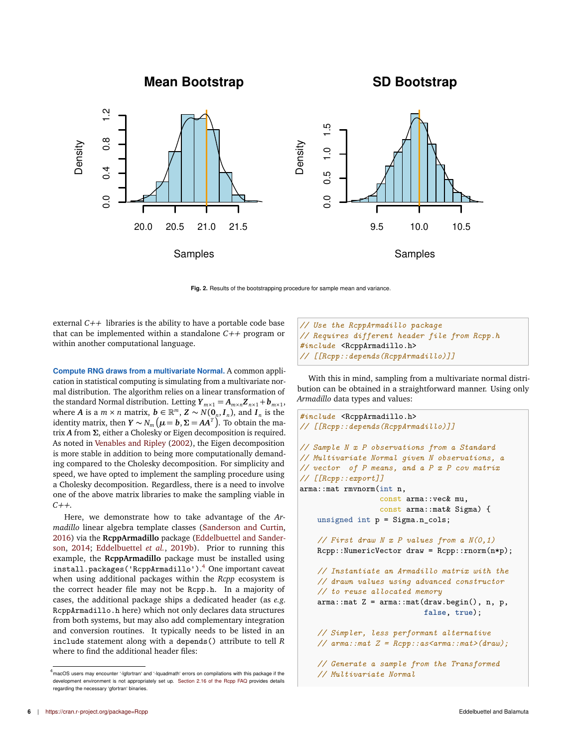**Mean Bootstrap**

**SD Bootstrap**



**Fig. 2.** Results of the bootstrapping procedure for sample mean and variance.

external *C++* libraries is the ability to have a portable code base that can be implemented within a standalone *C++* program or within another computational language.

**Compute RNG draws from a multivariate Normal.** A common application in statistical computing is simulating from a multivariate normal distribution. The algorithm relies on a linear transformation of the standard Normal distribution. Letting  $Y_{m \times 1} = A_{m \times n} Z_{n \times 1} + b_{m \times 1}$ , where *A* is a  $m \times n$  matrix,  $\boldsymbol{b} \in \mathbb{R}^m$ ,  $\boldsymbol{Z} \sim N(\boldsymbol{0}_n, \boldsymbol{I}_n)$ , and  $\boldsymbol{I}_n$  is the identity matrix, then  $Y \sim N_m$   $(\mu = b, \Sigma = AA^T)$ . To obtain the matrix *A* from *Σ*, either a Cholesky or Eigen decomposition is required. As noted in Venables and Ripley (2002), the Eigen decomposition is more stable in addition to being more computationally demanding compared to the Cholesky decomposition. For simplicity and speed, we have opted to implement the sampling procedure using a Cholesky decomposition. Regardless, there is a need to involve one of the above matrix libraries to make the sampling viable in *C++*.

Here, we demonstrate how to take advantage of the *Armadillo* linear algebra template classes (Sanderson and Curtin, 2016) via the **RcppArmadillo** package (Eddelbuettel and Sanderson, 2014; Eddelbuettel *et al.*, 2019b). Prior to running this example, the **RcppArmadillo** package must be installed using install.packages('RcppArmadillo'). <sup>4</sup> One important caveat when using additional packages within the *Rcpp* ecosystem is the correct header file may not be Rcpp.h. In a majority of cases, the additional package ships a dedicated header (as *e.g.* RcppArmadillo.h here) which not only declares data structures from both systems, but may also add complementary integration and conversion routines. It typically needs to be listed in an include statement along with a depends() attribute to tell *R* where to find the additional header files:

*// Use the RcppArmadillo package // Requires different header file from Rcpp.h #include* <RcppArmadillo.h> *// [[Rcpp::depends(RcppArmadillo)]]*

With this in mind, sampling from a multivariate normal distribution can be obtained in a straightforward manner. Using only *Armadillo* data types and values:

```
#include <RcppArmadillo.h>
// [[Rcpp::depends(RcppArmadillo)]]
// Sample N x P observations from a Standard
// Multivariate Normal given N observations, a
// vector of P means, and a P x P cov matrix
// [[Rcpp::export]]
arma::mat rmvnorm(int n,
                  const arma::vec& mu,
                  const arma::mat& Sigma) {
    unsigned int p = Sigma.n_cols;
    // First draw N x P values from a N(0,1)
    Rcpp::NumericVector draw = Rcpp::rnorm(n*p);
    // Instantiate an Armadillo matrix with the
    // drawn values using advanced constructor
    // to reuse allocated memory
    arma::mat Z = arma::mat(draw.begin(), n, p,
                            false, true);
    // Simpler, less performant alternative
    // arma::mat Z = Rcpp::as<arma::mat>(draw);
    // Generate a sample from the Transformed
    // Multivariate Normal
```
 $4<sup>4</sup>$  macOS users may encounter '-lgfortran' and '-lquadmath' errors on compilations with this package if the development environment is not appropriately set up. Section 2.16 of the Rcpp FAQ provides details regarding the necessary 'gfortran' binaries.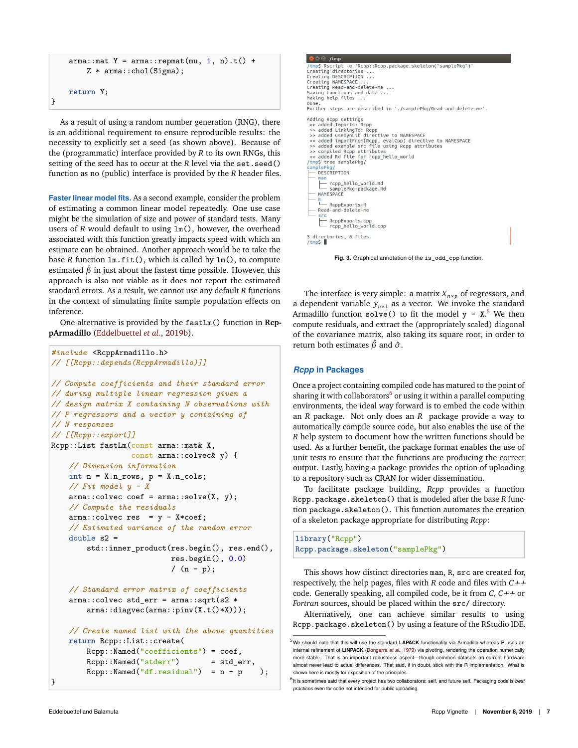```
arma::mat Y = arma::repmat(mu, 1, n).t() +Z * arma::chol(Sigma);
return Y;
```
}

As a result of using a random number generation (RNG), there is an additional requirement to ensure reproducible results: the necessity to explicitly set a seed (as shown above). Because of the (programmatic) interface provided by *R* to its own RNGs, this setting of the seed has to occur at the *R* level via the set.seed() function as no (public) interface is provided by the *R* header files.

**Faster linear model fits.** As a second example, consider the problem of estimating a common linear model repeatedly. One use case might be the simulation of size and power of standard tests. Many users of *R* would default to using  $lm()$ , however, the overhead associated with this function greatly impacts speed with which an estimate can be obtained. Another approach would be to take the base *R* function lm.fit(), which is called by lm(), to compute estimated  $\hat{\beta}$  in just about the fastest time possible. However, this approach is also not viable as it does not report the estimated standard errors. As a result, we cannot use any default *R* functions in the context of simulating finite sample population effects on inference.

One alternative is provided by the fastLm() function in **RcppArmadillo** (Eddelbuettel *et al.*, 2019b).

```
#include <RcppArmadillo.h>
// [[Rcpp::depends(RcppArmadillo)]]
// Compute coefficients and their standard error
// during multiple linear regression given a
// design matrix X containing N observations with
// P regressors and a vector y containing of
// N responses
// [[Rcpp::export]]
Rcpp::List fastLm(const arma::mat& X,
                  const arma::colvec& y) {
    // Dimension information
    int n = X.n_rrows, p = X.n_cols;
    // Fit model y ~ X
    arma::colvec coef = arma::solve(X, y);// Compute the residuals
    arma::colvec res = y - X*coef;
    // Estimated variance of the random error
    double s2 =
        std::inner_product(res.begin(), res.end(),
                            res.begin(), 0.0)
                            /(n - p);
    // Standard error matrix of coefficients
    arma::colvec std_err = arma::sqrt(s2 *
        arma::diagvec(arma::pinv(X.t()*X)));
    // Create named list with the above quantities
    return Rcpp::List::create(
        Rcpp::Named("coefficients") = coef,<br>Rcpp::Named("stderr") = std_err,
        Rcpp::Named("stderr")
        Rcpp::Named("df.residual") = n - p );
```

```
D C /tmp
 /tmp$ Rscript -e 'Rcpp::Rcpp.package.skeleton("samplePkg")<br>Creating directories ...
Creating directories<br>Creating DESCRIPTION<br>Creating NAMESPACE ...<br>Creating Read-and-delete-me ...<br>Saving functions and data ...<br>Making help files ...
Done
Further steps are described in './samplePkg/Read-and-delete-me'.
Adding Rcpp settings<br>>> added Imports: Rcpp<br>>> added LinkingTo: Rcpp<br>>> added useDynLib directive to NAMESPACE
 >> added useDynLtD directive to NAMESPACE<br>
>> added importFrom(Rcpp, evalCpp) directive to NAMESPACE<br>
>> compted example src file using Rcpp attributes<br>
>> compted example src file using Rcpp attributes<br>
>> added Rd file f
  samp
         DESCRIPTION
         rop_hello_world.Rd<br>__ samplePkg-package.Rd<br>NAMESPACE
      – <mark>R</mark><br>└── R⊂ppExports.R<br>─ Read-and-delete-me
          RcppExports.cpp<br>
rcpp_hello_world.cpp
3 directories, 8 files<br>/tmp$ █
```
**Fig. 3.** Graphical annotation of the is\_odd\_cpp function.

The interface is very simple: a matrix  $X_{n\times p}$  of regressors, and a dependent variable  $y_{n \times 1}$  as a vector. We invoke the standard Armadillo function  $\texttt{solve}()$  to fit the model  $\texttt{y} \sim \texttt{X}.^5$  We then compute residuals, and extract the (appropriately scaled) diagonal of the covariance matrix, also taking its square root, in order to return both estimates  $\hat{\beta}$  and  $\hat{\sigma}$ .

# *Rcpp* **in Packages**

Once a project containing compiled code has matured to the point of sharing it with collaborators <sup>6</sup> or using it within a parallel computing environments, the ideal way forward is to embed the code within an *R* package. Not only does an *R* package provide a way to automatically compile source code, but also enables the use of the *R* help system to document how the written functions should be used. As a further benefit, the package format enables the use of unit tests to ensure that the functions are producing the correct output. Lastly, having a package provides the option of uploading to a repository such as CRAN for wider dissemination.

To facilitate package building, *Rcpp* provides a function Rcpp.package.skeleton() that is modeled after the base *R* function package.skeleton(). This function automates the creation of a skeleton package appropriate for distributing *Rcpp*:

**library**("Rcpp") **Rcpp.package.skeleton**("samplePkg")

This shows how distinct directories man, R, src are created for, respectively, the help pages, files with *R* code and files with *C++* code. Generally speaking, all compiled code, be it from *C*, *C++* or *Fortran* sources, should be placed within the src/ directory.

Alternatively, one can achieve similar results to using Rcpp.package.skeleton() by using a feature of the RStudio IDE.

}

<sup>&</sup>lt;sup>5</sup>We should note that this will use the standard LAPACK functionality via Armadillo whereas R uses an internal refinement of **LINPACK** (Dongarra *et al.*, 1979) via pivoting, rendering the operation numerically more stable. That is an important robustness aspect—though common datasets on current hardware almost never lead to actual differences. That said, if in doubt, stick with the R implementation. What is shown here is mostly for exposition of the principles.

<sup>6</sup> It is sometimes said that every project has two collaborators: self, and future self. Packaging code is *best practices* even for code not intended for public uploading.